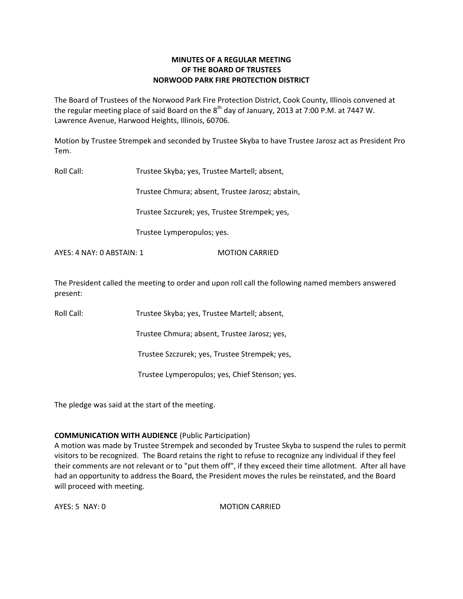# **MINUTES OF A REGULAR MEETING OF THE BOARD OF TRUSTEES NORWOOD PARK FIRE PROTECTION DISTRICT**

The Board of Trustees of the Norwood Park Fire Protection District, Cook County, Illinois convened at the regular meeting place of said Board on the  $8^{\text{th}}$  day of January, 2013 at 7:00 P.M. at 7447 W. Lawrence Avenue, Harwood Heights, Illinois, 60706.

Motion by Trustee Strempek and seconded by Trustee Skyba to have Trustee Jarosz act as President Pro Tem.

Roll Call: Trustee Skyba; yes, Trustee Martell; absent,

Trustee Chmura; absent, Trustee Jarosz; abstain,

Trustee Szczurek; yes, Trustee Strempek; yes,

Trustee Lymperopulos; yes.

AYES: 4 NAY: 0 ABSTAIN: 1 MOTION CARRIED

The President called the meeting to order and upon roll call the following named members answered present:

Roll Call: Trustee Skyba; yes, Trustee Martell; absent,

Trustee Chmura; absent, Trustee Jarosz; yes,

Trustee Szczurek; yes, Trustee Strempek; yes,

Trustee Lymperopulos; yes, Chief Stenson; yes.

The pledge was said at the start of the meeting.

## **COMMUNICATION WITH AUDIENCE** (Public Participation)

A motion was made by Trustee Strempek and seconded by Trustee Skyba to suspend the rules to permit visitors to be recognized. The Board retains the right to refuse to recognize any individual if they feel their comments are not relevant or to "put them off", if they exceed their time allotment. After all have had an opportunity to address the Board, the President moves the rules be reinstated, and the Board will proceed with meeting.

AYES: 5 NAY: 0 MOTION CARRIED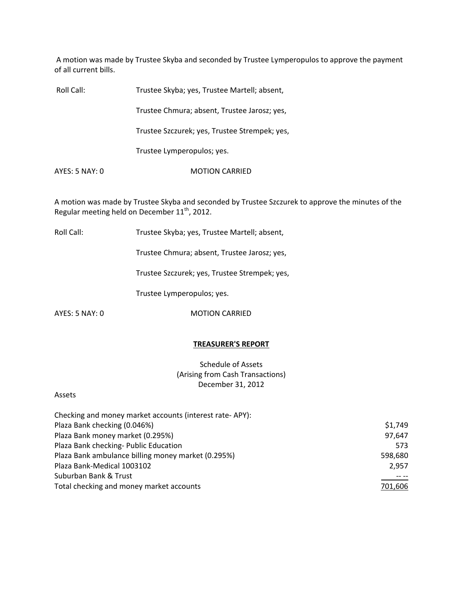A motion was made by Trustee Skyba and seconded by Trustee Lymperopulos to approve the payment of all current bills.

| Roll Call:     | Trustee Skyba; yes, Trustee Martell; absent,  |
|----------------|-----------------------------------------------|
|                | Trustee Chmura; absent, Trustee Jarosz; yes,  |
|                | Trustee Szczurek; yes, Trustee Strempek; yes, |
|                | Trustee Lymperopulos; yes.                    |
| AYES: 5 NAY: 0 | <b>MOTION CARRIED</b>                         |

A motion was made by Trustee Skyba and seconded by Trustee Szczurek to approve the minutes of the Regular meeting held on December  $11<sup>th</sup>$ , 2012.

Roll Call: Trustee Skyba; yes, Trustee Martell; absent,

Trustee Chmura; absent, Trustee Jarosz; yes,

Trustee Szczurek; yes, Trustee Strempek; yes,

Trustee Lymperopulos; yes.

AYES: 5 NAY: 0 MOTION CARRIED

## **TREASURER'S REPORT**

Schedule of Assets (Arising from Cash Transactions) December 31, 2012

### Assets

| Checking and money market accounts (interest rate-APY): |         |
|---------------------------------------------------------|---------|
| Plaza Bank checking (0.046%)                            | \$1,749 |
| Plaza Bank money market (0.295%)                        | 97,647  |
| Plaza Bank checking- Public Education                   | 573     |
| Plaza Bank ambulance billing money market (0.295%)      | 598,680 |
| Plaza Bank-Medical 1003102                              | 2,957   |
| Suburban Bank & Trust                                   |         |
| Total checking and money market accounts                | 701,606 |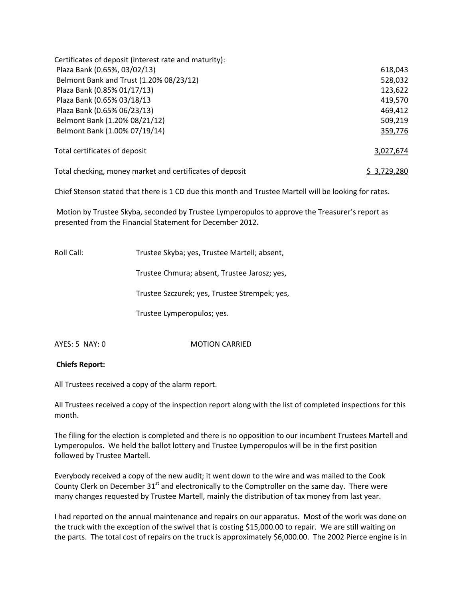| Certificates of deposit (interest rate and maturity):    |             |
|----------------------------------------------------------|-------------|
| Plaza Bank (0.65%, 03/02/13)                             | 618,043     |
| Belmont Bank and Trust (1.20% 08/23/12)                  | 528,032     |
| Plaza Bank (0.85% 01/17/13)                              | 123,622     |
| Plaza Bank (0.65% 03/18/13                               | 419,570     |
| Plaza Bank (0.65% 06/23/13)                              | 469,412     |
| Belmont Bank (1.20% 08/21/12)                            | 509,219     |
| Belmont Bank (1.00% 07/19/14)                            | 359,776     |
| Total certificates of deposit                            | 3,027,674   |
| Total checking, money market and certificates of deposit | S 3.729.280 |

Chief Stenson stated that there is 1 CD due this month and Trustee Martell will be looking for rates.

Motion by Trustee Skyba, seconded by Trustee Lymperopulos to approve the Treasurer's report as presented from the Financial Statement for December 2012**.**

| Roll Call: | Trustee Skyba; yes, Trustee Martell; absent,  |
|------------|-----------------------------------------------|
|            | Trustee Chmura; absent, Trustee Jarosz; yes,  |
|            | Trustee Szczurek; yes, Trustee Strempek; yes, |

Trustee Lymperopulos; yes.

AYES: 5 NAY: 0 MOTION CARRIED

# **Chiefs Report:**

All Trustees received a copy of the alarm report.

All Trustees received a copy of the inspection report along with the list of completed inspections for this month.

The filing for the election is completed and there is no opposition to our incumbent Trustees Martell and Lymperopulos. We held the ballot lottery and Trustee Lymperopulos will be in the first position followed by Trustee Martell.

Everybody received a copy of the new audit; it went down to the wire and was mailed to the Cook County Clerk on December  $31<sup>st</sup>$  and electronically to the Comptroller on the same day. There were many changes requested by Trustee Martell, mainly the distribution of tax money from last year.

I had reported on the annual maintenance and repairs on our apparatus. Most of the work was done on the truck with the exception of the swivel that is costing \$15,000.00 to repair. We are still waiting on the parts. The total cost of repairs on the truck is approximately \$6,000.00. The 2002 Pierce engine is in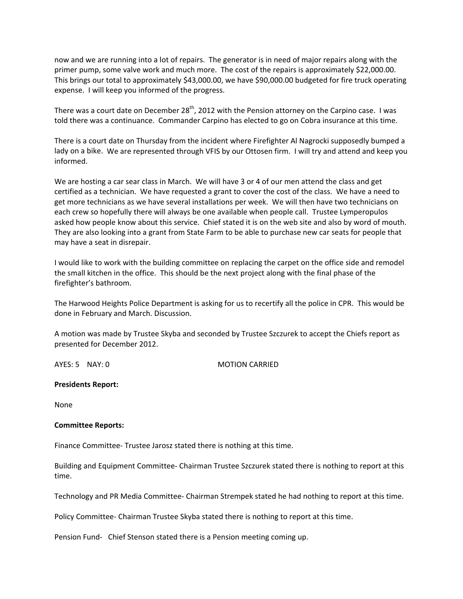now and we are running into a lot of repairs. The generator is in need of major repairs along with the primer pump, some valve work and much more. The cost of the repairs is approximately \$22,000.00. This brings our total to approximately \$43,000.00, we have \$90,000.00 budgeted for fire truck operating expense. I will keep you informed of the progress.

There was a court date on December 28<sup>th</sup>, 2012 with the Pension attorney on the Carpino case. I was told there was a continuance. Commander Carpino has elected to go on Cobra insurance at this time.

There is a court date on Thursday from the incident where Firefighter Al Nagrocki supposedly bumped a lady on a bike. We are represented through VFIS by our Ottosen firm. I will try and attend and keep you informed.

We are hosting a car sear class in March. We will have 3 or 4 of our men attend the class and get certified as a technician. We have requested a grant to cover the cost of the class. We have a need to get more technicians as we have several installations per week. We will then have two technicians on each crew so hopefully there will always be one available when people call. Trustee Lymperopulos asked how people know about this service. Chief stated it is on the web site and also by word of mouth. They are also looking into a grant from State Farm to be able to purchase new car seats for people that may have a seat in disrepair.

I would like to work with the building committee on replacing the carpet on the office side and remodel the small kitchen in the office. This should be the next project along with the final phase of the firefighter's bathroom.

The Harwood Heights Police Department is asking for us to recertify all the police in CPR. This would be done in February and March. Discussion.

A motion was made by Trustee Skyba and seconded by Trustee Szczurek to accept the Chiefs report as presented for December 2012.

AYES: 5 NAY: 0 MOTION CARRIED

### **Presidents Report:**

None

### **Committee Reports:**

Finance Committee‐ Trustee Jarosz stated there is nothing at this time.

Building and Equipment Committee‐ Chairman Trustee Szczurek stated there is nothing to report at this time.

Technology and PR Media Committee‐ Chairman Strempek stated he had nothing to report at this time.

Policy Committee‐ Chairman Trustee Skyba stated there is nothing to report at this time.

Pension Fund- Chief Stenson stated there is a Pension meeting coming up.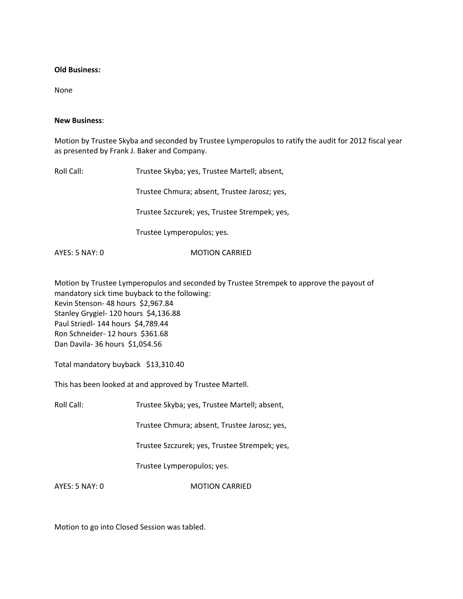### **Old Business:**

None

## **New Business**:

Motion by Trustee Skyba and seconded by Trustee Lymperopulos to ratify the audit for 2012 fiscal year as presented by Frank J. Baker and Company.

Roll Call: Trustee Skyba; yes, Trustee Martell; absent, Trustee Chmura; absent, Trustee Jarosz; yes, Trustee Szczurek; yes, Trustee Strempek; yes, Trustee Lymperopulos; yes.

AYES: 5 NAY: 0 MOTION CARRIED

Motion by Trustee Lymperopulos and seconded by Trustee Strempek to approve the payout of mandatory sick time buyback to the following: Kevin Stenson‐ 48 hours \$2,967.84 Stanley Grygiel- 120 hours \$4,136.88 Paul Striedl‐ 144 hours \$4,789.44 Ron Schneider- 12 hours \$361.68 Dan Davila‐ 36 hours \$1,054.56

Total mandatory buyback \$13,310.40

This has been looked at and approved by Trustee Martell.

Roll Call: Trustee Skyba; yes, Trustee Martell; absent,

Trustee Chmura; absent, Trustee Jarosz; yes,

Trustee Szczurek; yes, Trustee Strempek; yes,

Trustee Lymperopulos; yes.

AYES: 5 NAY: 0 MOTION CARRIED

Motion to go into Closed Session was tabled.